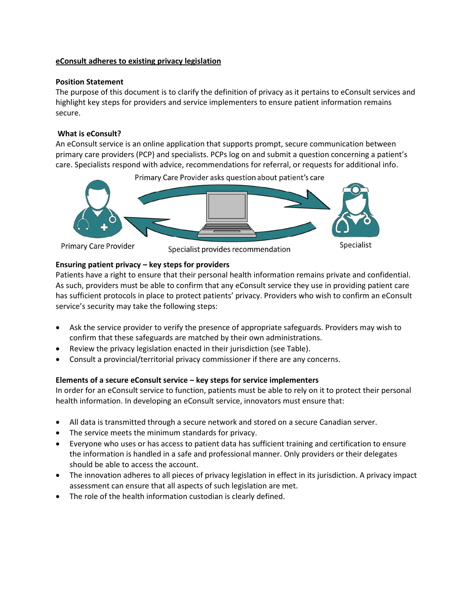## **eConsult adheres to existing privacy legislation**

## **Position Statement**

The purpose of this document is to clarify the definition of privacy as it pertains to eConsult services and highlight key steps for providers and service implementers to ensure patient information remains secure.

# **What is eConsult?**

An eConsult service is an online application that supports prompt, secure communication between primary care providers (PCP) and specialists. PCPs log on and submit a question concerning a patient's care. Specialists respond with advice, recommendations for referral, or requests for additional info.



**Primary Care Provider** 

Specialist provides recommendation

**Specialist** 

#### **Ensuring patient privacy – key steps for providers**

Patients have a right to ensure that their personal health information remains private and confidential. As such, providers must be able to confirm that any eConsult service they use in providing patient care has sufficient protocols in place to protect patients' privacy. Providers who wish to confirm an eConsult service's security may take the following steps:

- Ask the service provider to verify the presence of appropriate safeguards. Providers may wish to confirm that these safeguards are matched by their own administrations.
- Review the privacy legislation enacted in their jurisdiction (see Table).
- Consult a provincial/territorial privacy commissioner if there are any concerns.

# **Elements of a secure eConsult service – key steps for service implementers**

In order for an eConsult service to function, patients must be able to rely on it to protect their personal health information. In developing an eConsult service, innovators must ensure that:

- All data is transmitted through a secure network and stored on a secure Canadian server.
- The service meets the minimum standards for privacy.
- Everyone who uses or has access to patient data has sufficient training and certification to ensure the information is handled in a safe and professional manner. Only providers or their delegates should be able to access the account.
- The innovation adheres to all pieces of privacy legislation in effect in its jurisdiction. A privacy impact assessment can ensure that all aspects of such legislation are met.
- The role of the health information custodian is clearly defined.